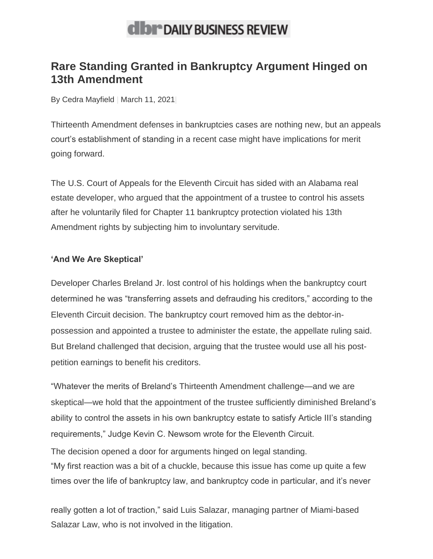## **dibr** DAILY BUSINESS REVIEW

## **Rare Standing Granted in Bankruptcy Argument Hinged on 13th Amendment**

By [Cedra Mayfield](https://www.law.com/dailybusinessreview/author/profile/Cedra-Mayfield/) | March 11, 2021|

Thirteenth Amendment defenses in bankruptcies cases are nothing new, but an appeals court's establishment of standing in a recent case might have implications for merit going forward.

The U.S. Court of Appeals for the Eleventh Circuit has sided with an Alabama real estate developer, who argued that the appointment of a trustee to control his assets after he voluntarily filed for Chapter 11 bankruptcy protection violated his 13th Amendment rights by subjecting him to involuntary servitude.

## **'And We Are Skeptical'**

Developer Charles Breland Jr. lost control of his holdings when the bankruptcy court determined he was "transferring assets and defrauding his creditors," according to the Eleventh Circuit decision. The bankruptcy court removed him as the debtor-inpossession and appointed a trustee to administer the estate, the appellate ruling said. But Breland challenged that decision, arguing that the trustee would use all his postpetition earnings to benefit his creditors.

"Whatever the merits of Breland's Thirteenth Amendment challenge—and we are skeptical—we hold that the appointment of the trustee sufficiently diminished Breland's ability to control the assets in his own bankruptcy estate to satisfy Article III's standing requirements," Judge Kevin C. Newsom wrote for the Eleventh Circuit.

The decision opened a door for arguments hinged on legal standing. "My first reaction was a bit of a chuckle, because this issue has come up quite a few times over the life of bankruptcy law, and bankruptcy code in particular, and it's never

really gotten a lot of traction," said Luis Salazar, managing partner of Miami-based Salazar Law, who is not involved in the litigation.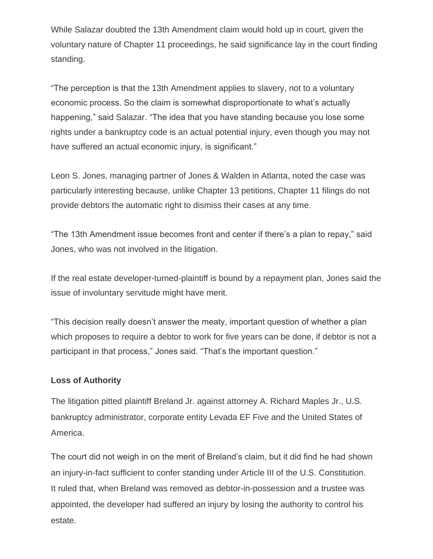While Salazar doubted the 13th Amendment claim would hold up in court, given the voluntary nature of Chapter 11 proceedings, he said significance lay in the court finding standing.

"The perception is that the 13th Amendment applies to slavery, not to a voluntary economic process. So the claim is somewhat disproportionate to what's actually happening," said Salazar. "The idea that you have standing because you lose some rights under a bankruptcy code is an actual potential injury, even though you may not have suffered an actual economic injury, is significant."

Leon S. Jones, managing partner of Jones & Walden in Atlanta, noted the case was particularly interesting because, unlike Chapter 13 petitions, Chapter 11 filings do not provide debtors the automatic right to dismiss their cases at any time.

"The 13th Amendment issue becomes front and center if there's a plan to repay," said Jones, who was not involved in the litigation.

If the real estate developer-turned-plaintiff is bound by a repayment plan, Jones said the issue of involuntary servitude might have merit.

"This decision really doesn't answer the meaty, important question of whether a plan which proposes to require a debtor to work for five years can be done, if debtor is not a participant in that process," Jones said. "That's the important question."

## **Loss of Authority**

The litigation pitted plaintiff Breland Jr. against attorney A. Richard Maples Jr., U.S. bankruptcy administrator, corporate entity Levada EF Five and the United States of America.

The court did not weigh in on the merit of Breland's claim, but it did find he had shown an injury-in-fact sufficient to confer standing under Article III of the U.S. Constitution. It ruled that, when Breland was removed as debtor-in-possession and a trustee was appointed, the developer had suffered an injury by losing the authority to control his estate.